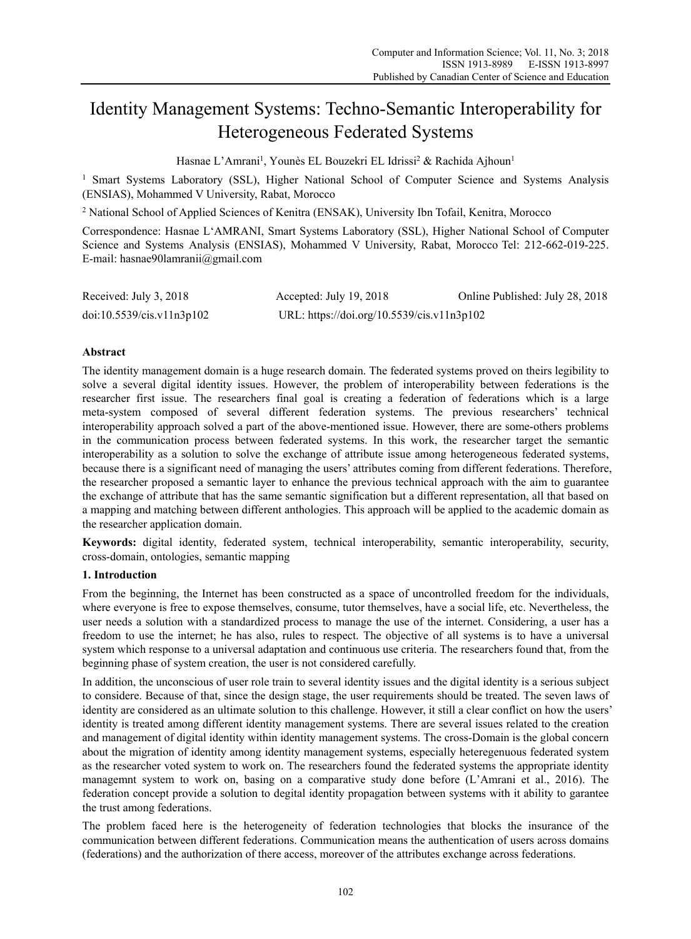# Identity Management Systems: Techno-Semantic Interoperability for Heterogeneous Federated Systems

Hasnae L'Amrani<sup>1</sup>, Younès EL Bouzekri EL Idrissi<sup>2</sup> & Rachida Ajhoun<sup>1</sup>

<sup>1</sup> Smart Systems Laboratory (SSL), Higher National School of Computer Science and Systems Analysis (ENSIAS), Mohammed V University, Rabat, Morocco

<sup>2</sup> National School of Applied Sciences of Kenitra (ENSAK), University Ibn Tofail, Kenitra, Morocco

Correspondence: Hasnae L'AMRANI, Smart Systems Laboratory (SSL), Higher National School of Computer Science and Systems Analysis (ENSIAS), Mohammed V University, Rabat, Morocco Tel: 212-662-019-225. E-mail: hasnae90lamranii@gmail.com

| Received: July 3, 2018    | Accepted: July 19, 2018                    | Online Published: July 28, 2018 |
|---------------------------|--------------------------------------------|---------------------------------|
| doi:10.5539/cis.v11n3p102 | URL: https://doi.org/10.5539/cis.v11n3p102 |                                 |

# **Abstract**

The identity management domain is a huge research domain. The federated systems proved on theirs legibility to solve a several digital identity issues. However, the problem of interoperability between federations is the researcher first issue. The researchers final goal is creating a federation of federations which is a large meta-system composed of several different federation systems. The previous researchers' technical interoperability approach solved a part of the above-mentioned issue. However, there are some-others problems in the communication process between federated systems. In this work, the researcher target the semantic interoperability as a solution to solve the exchange of attribute issue among heterogeneous federated systems, because there is a significant need of managing the users' attributes coming from different federations. Therefore, the researcher proposed a semantic layer to enhance the previous technical approach with the aim to guarantee the exchange of attribute that has the same semantic signification but a different representation, all that based on a mapping and matching between different anthologies. This approach will be applied to the academic domain as the researcher application domain.

**Keywords:** digital identity, federated system, technical interoperability, semantic interoperability, security, cross-domain, ontologies, semantic mapping

# **1. Introduction**

From the beginning, the Internet has been constructed as a space of uncontrolled freedom for the individuals, where everyone is free to expose themselves, consume, tutor themselves, have a social life, etc. Nevertheless, the user needs a solution with a standardized process to manage the use of the internet. Considering, a user has a freedom to use the internet; he has also, rules to respect. The objective of all systems is to have a universal system which response to a universal adaptation and continuous use criteria. The researchers found that, from the beginning phase of system creation, the user is not considered carefully.

In addition, the unconscious of user role train to several identity issues and the digital identity is a serious subject to considere. Because of that, since the design stage, the user requirements should be treated. The seven laws of identity are considered as an ultimate solution to this challenge. However, it still a clear conflict on how the users' identity is treated among different identity management systems. There are several issues related to the creation and management of digital identity within identity management systems. The cross-Domain is the global concern about the migration of identity among identity management systems, especially heteregenuous federated system as the researcher voted system to work on. The researchers found the federated systems the appropriate identity managemnt system to work on, basing on a comparative study done before (L'Amrani et al., 2016). The federation concept provide a solution to degital identity propagation between systems with it ability to garantee the trust among federations.

The problem faced here is the heterogeneity of federation technologies that blocks the insurance of the communication between different federations. Communication means the authentication of users across domains (federations) and the authorization of there access, moreover of the attributes exchange across federations.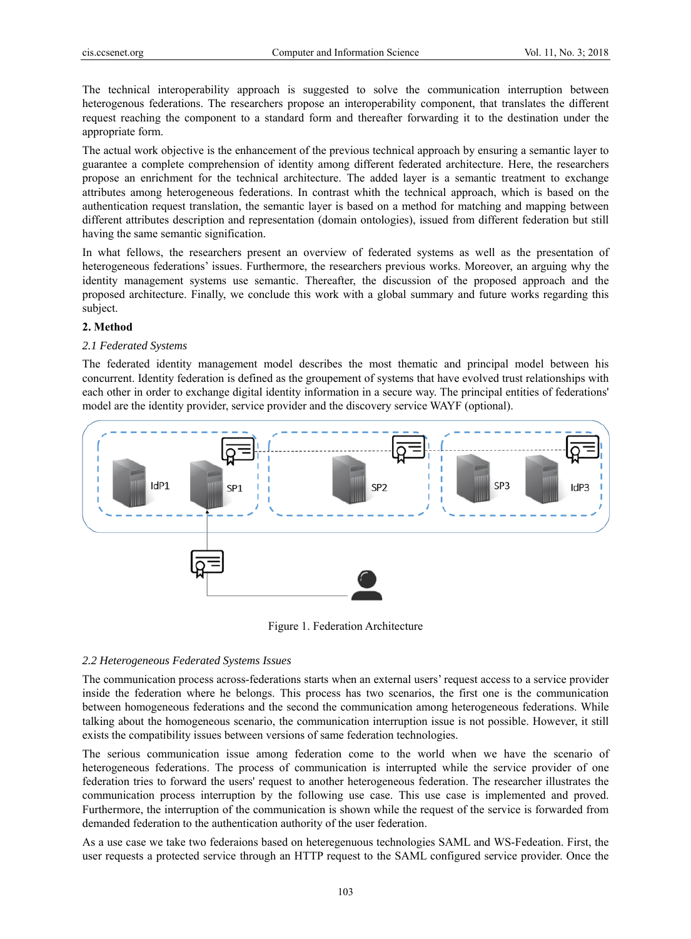The technical interoperability approach is suggested to solve the communication interruption between heterogenous federations. The researchers propose an interoperability component, that translates the different request reaching the component to a standard form and thereafter forwarding it to the destination under the appropriate form.

The actual work objective is the enhancement of the previous technical approach by ensuring a semantic layer to guarantee a complete comprehension of identity among different federated architecture. Here, the researchers propose an enrichment for the technical architecture. The added layer is a semantic treatment to exchange attributes among heterogeneous federations. In contrast whith the technical approach, which is based on the authentication request translation, the semantic layer is based on a method for matching and mapping between different attributes description and representation (domain ontologies), issued from different federation but still having the same semantic signification.

In what fellows, the researchers present an overview of federated systems as well as the presentation of heterogeneous federations' issues. Furthermore, the researchers previous works. Moreover, an arguing why the identity management systems use semantic. Thereafter, the discussion of the proposed approach and the proposed architecture. Finally, we conclude this work with a global summary and future works regarding this subject.

#### **2. Method**

#### *2.1 Federated Systems*

The federated identity management model describes the most thematic and principal model between his concurrent. Identity federation is defined as the groupement of systems that have evolved trust relationships with each other in order to exchange digital identity information in a secure way. The principal entities of federations' model are the identity provider, service provider and the discovery service WAYF (optional).



Figure 1. Federation Architecture

#### *2.2 Heterogeneous Federated Systems Issues*

The communication process across-federations starts when an external users' request access to a service provider inside the federation where he belongs. This process has two scenarios, the first one is the communication between homogeneous federations and the second the communication among heterogeneous federations. While talking about the homogeneous scenario, the communication interruption issue is not possible. However, it still exists the compatibility issues between versions of same federation technologies.

The serious communication issue among federation come to the world when we have the scenario of heterogeneous federations. The process of communication is interrupted while the service provider of one federation tries to forward the users' request to another heterogeneous federation. The researcher illustrates the communication process interruption by the following use case. This use case is implemented and proved. Furthermore, the interruption of the communication is shown while the request of the service is forwarded from demanded federation to the authentication authority of the user federation.

As a use case we take two federaions based on heteregenuous technologies SAML and WS-Fedeation. First, the user requests a protected service through an HTTP request to the SAML configured service provider. Once the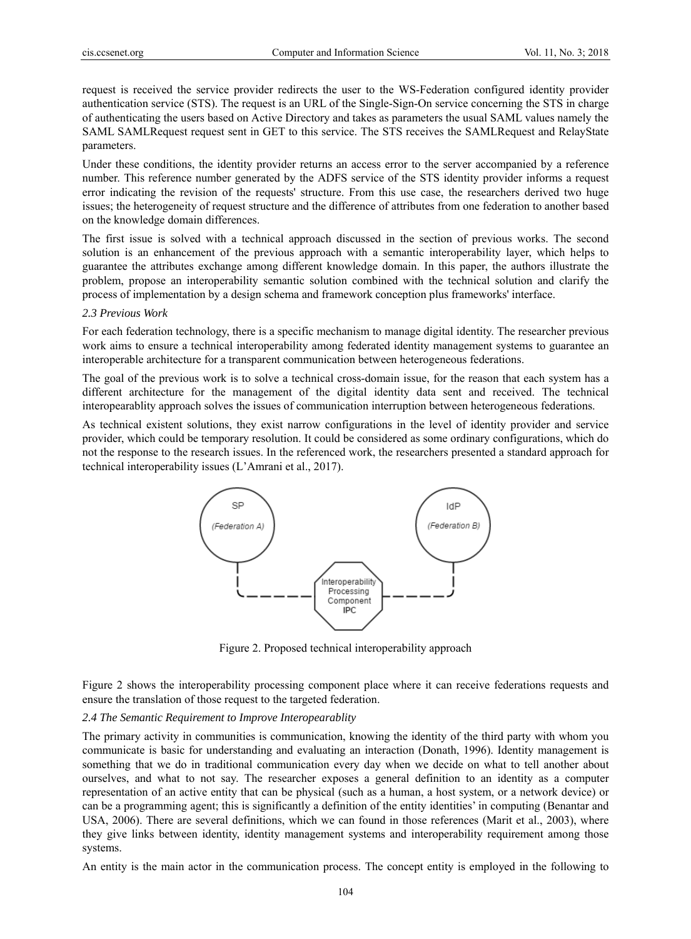request is received the service provider redirects the user to the WS-Federation configured identity provider authentication service (STS). The request is an URL of the Single-Sign-On service concerning the STS in charge of authenticating the users based on Active Directory and takes as parameters the usual SAML values namely the SAML SAMLRequest request sent in GET to this service. The STS receives the SAMLRequest and RelayState parameters.

Under these conditions, the identity provider returns an access error to the server accompanied by a reference number. This reference number generated by the ADFS service of the STS identity provider informs a request error indicating the revision of the requests' structure. From this use case, the researchers derived two huge issues; the heterogeneity of request structure and the difference of attributes from one federation to another based on the knowledge domain differences.

The first issue is solved with a technical approach discussed in the section of previous works. The second solution is an enhancement of the previous approach with a semantic interoperability layer, which helps to guarantee the attributes exchange among different knowledge domain. In this paper, the authors illustrate the problem, propose an interoperability semantic solution combined with the technical solution and clarify the process of implementation by a design schema and framework conception plus frameworks' interface.

## *2.3 Previous Work*

For each federation technology, there is a specific mechanism to manage digital identity. The researcher previous work aims to ensure a technical interoperability among federated identity management systems to guarantee an interoperable architecture for a transparent communication between heterogeneous federations.

The goal of the previous work is to solve a technical cross-domain issue, for the reason that each system has a different architecture for the management of the digital identity data sent and received. The technical interopearablity approach solves the issues of communication interruption between heterogeneous federations.

As technical existent solutions, they exist narrow configurations in the level of identity provider and service provider, which could be temporary resolution. It could be considered as some ordinary configurations, which do not the response to the research issues. In the referenced work, the researchers presented a standard approach for technical interoperability issues (L'Amrani et al., 2017).



Figure 2. Proposed technical interoperability approach

Figure 2 shows the interoperability processing component place where it can receive federations requests and ensure the translation of those request to the targeted federation.

## *2.4 The Semantic Requirement to Improve Interopearablity*

The primary activity in communities is communication, knowing the identity of the third party with whom you communicate is basic for understanding and evaluating an interaction (Donath, 1996). Identity management is something that we do in traditional communication every day when we decide on what to tell another about ourselves, and what to not say. The researcher exposes a general definition to an identity as a computer representation of an active entity that can be physical (such as a human, a host system, or a network device) or can be a programming agent; this is significantly a definition of the entity identities' in computing (Benantar and USA, 2006). There are several definitions, which we can found in those references (Marit et al., 2003), where they give links between identity, identity management systems and interoperability requirement among those systems.

An entity is the main actor in the communication process. The concept entity is employed in the following to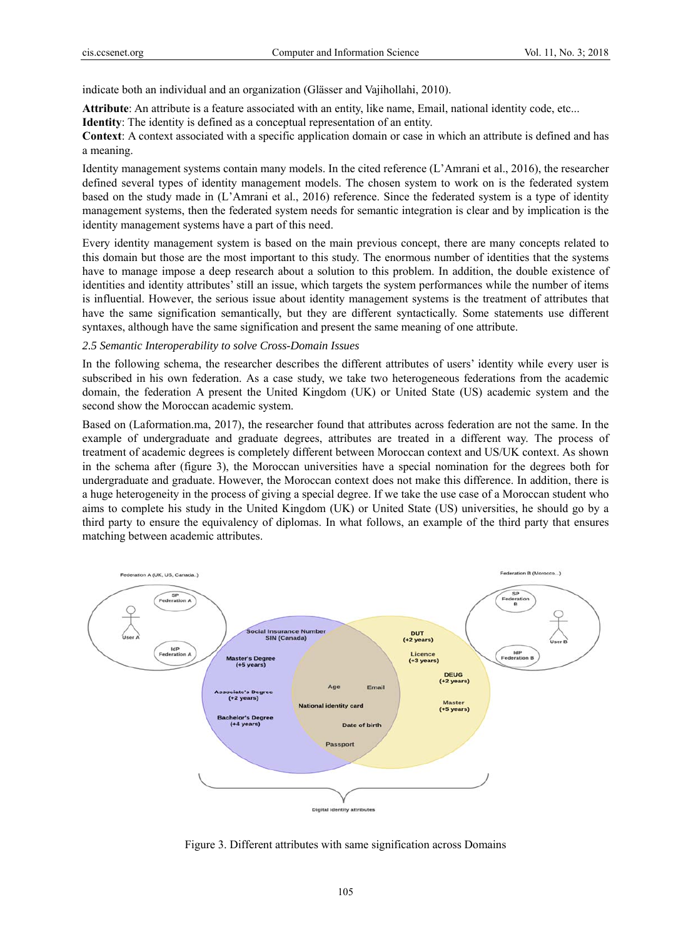indicate both an individual and an organization (Glässer and Vajihollahi, 2010).

**Attribute**: An attribute is a feature associated with an entity, like name, Email, national identity code, etc...

**Identity**: The identity is defined as a conceptual representation of an entity.

**Context**: A context associated with a specific application domain or case in which an attribute is defined and has a meaning.

Identity management systems contain many models. In the cited reference (L'Amrani et al., 2016), the researcher defined several types of identity management models. The chosen system to work on is the federated system based on the study made in (L'Amrani et al., 2016) reference. Since the federated system is a type of identity management systems, then the federated system needs for semantic integration is clear and by implication is the identity management systems have a part of this need.

Every identity management system is based on the main previous concept, there are many concepts related to this domain but those are the most important to this study. The enormous number of identities that the systems have to manage impose a deep research about a solution to this problem. In addition, the double existence of identities and identity attributes' still an issue, which targets the system performances while the number of items is influential. However, the serious issue about identity management systems is the treatment of attributes that have the same signification semantically, but they are different syntactically. Some statements use different syntaxes, although have the same signification and present the same meaning of one attribute.

# *2.5 Semantic Interoperability to solve Cross-Domain Issues*

In the following schema, the researcher describes the different attributes of users' identity while every user is subscribed in his own federation. As a case study, we take two heterogeneous federations from the academic domain, the federation A present the United Kingdom (UK) or United State (US) academic system and the second show the Moroccan academic system.

Based on (Laformation.ma, 2017), the researcher found that attributes across federation are not the same. In the example of undergraduate and graduate degrees, attributes are treated in a different way. The process of treatment of academic degrees is completely different between Moroccan context and US/UK context. As shown in the schema after (figure 3), the Moroccan universities have a special nomination for the degrees both for undergraduate and graduate. However, the Moroccan context does not make this difference. In addition, there is a huge heterogeneity in the process of giving a special degree. If we take the use case of a Moroccan student who aims to complete his study in the United Kingdom (UK) or United State (US) universities, he should go by a third party to ensure the equivalency of diplomas. In what follows, an example of the third party that ensures matching between academic attributes.



Figure 3. Different attributes with same signification across Domains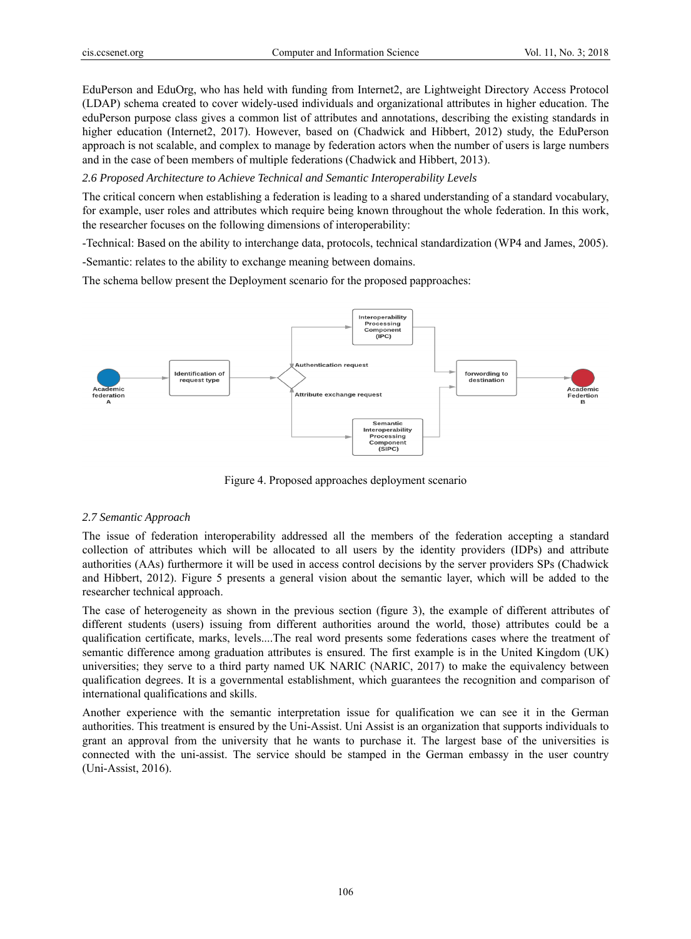EduPerson and EduOrg, who has held with funding from Internet2, are Lightweight Directory Access Protocol (LDAP) schema created to cover widely-used individuals and organizational attributes in higher education. The eduPerson purpose class gives a common list of attributes and annotations, describing the existing standards in higher education (Internet2, 2017). However, based on (Chadwick and Hibbert, 2012) study, the EduPerson approach is not scalable, and complex to manage by federation actors when the number of users is large numbers and in the case of been members of multiple federations (Chadwick and Hibbert, 2013).

*2.6 Proposed Architecture to Achieve Technical and Semantic Interoperability Levels* 

The critical concern when establishing a federation is leading to a shared understanding of a standard vocabulary, for example, user roles and attributes which require being known throughout the whole federation. In this work, the researcher focuses on the following dimensions of interoperability:

-Technical: Based on the ability to interchange data, protocols, technical standardization (WP4 and James, 2005).

-Semantic: relates to the ability to exchange meaning between domains.

The schema bellow present the Deployment scenario for the proposed papproaches:



Figure 4. Proposed approaches deployment scenario

#### *2.7 Semantic Approach*

The issue of federation interoperability addressed all the members of the federation accepting a standard collection of attributes which will be allocated to all users by the identity providers (IDPs) and attribute authorities (AAs) furthermore it will be used in access control decisions by the server providers SPs (Chadwick and Hibbert, 2012). Figure 5 presents a general vision about the semantic layer, which will be added to the researcher technical approach.

The case of heterogeneity as shown in the previous section (figure 3), the example of different attributes of different students (users) issuing from different authorities around the world, those) attributes could be a qualification certificate, marks, levels....The real word presents some federations cases where the treatment of semantic difference among graduation attributes is ensured. The first example is in the United Kingdom (UK) universities; they serve to a third party named UK NARIC (NARIC, 2017) to make the equivalency between qualification degrees. It is a governmental establishment, which guarantees the recognition and comparison of international qualifications and skills.

Another experience with the semantic interpretation issue for qualification we can see it in the German authorities. This treatment is ensured by the Uni-Assist. Uni Assist is an organization that supports individuals to grant an approval from the university that he wants to purchase it. The largest base of the universities is connected with the uni-assist. The service should be stamped in the German embassy in the user country (Uni-Assist, 2016).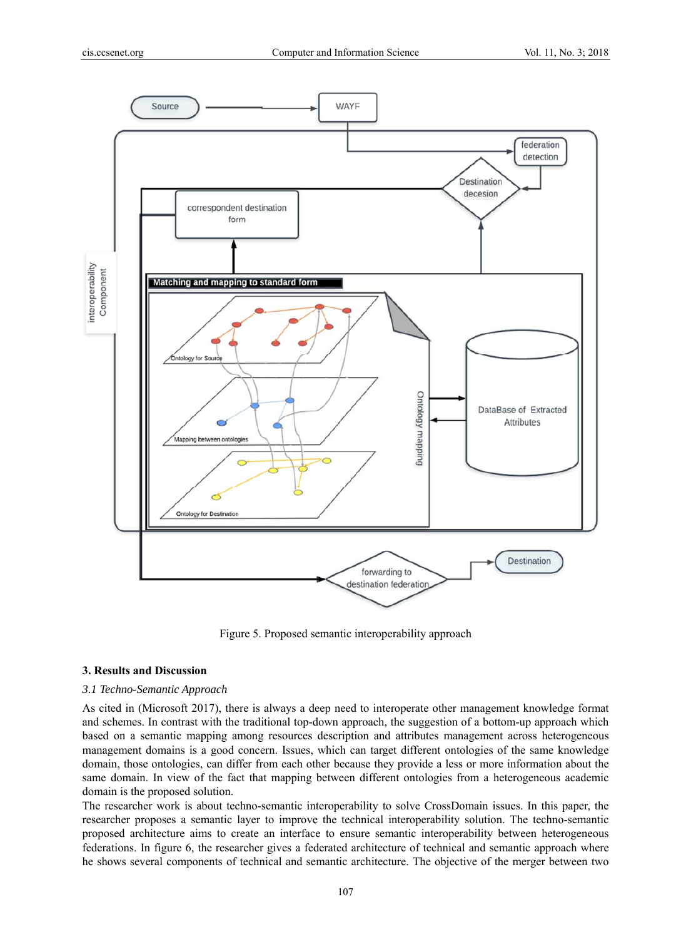

Figure 5. Proposed semantic interoperability approach

#### **3. Results and Discussion**

#### *3.1 Techno-Semantic Approach*

As cited in (Microsoft 2017), there is always a deep need to interoperate other management knowledge format and schemes. In contrast with the traditional top-down approach, the suggestion of a bottom-up approach which based on a semantic mapping among resources description and attributes management across heterogeneous management domains is a good concern. Issues, which can target different ontologies of the same knowledge domain, those ontologies, can differ from each other because they provide a less or more information about the same domain. In view of the fact that mapping between different ontologies from a heterogeneous academic domain is the proposed solution.

The researcher work is about techno-semantic interoperability to solve CrossDomain issues. In this paper, the researcher proposes a semantic layer to improve the technical interoperability solution. The techno-semantic proposed architecture aims to create an interface to ensure semantic interoperability between heterogeneous federations. In figure 6, the researcher gives a federated architecture of technical and semantic approach where he shows several components of technical and semantic architecture. The objective of the merger between two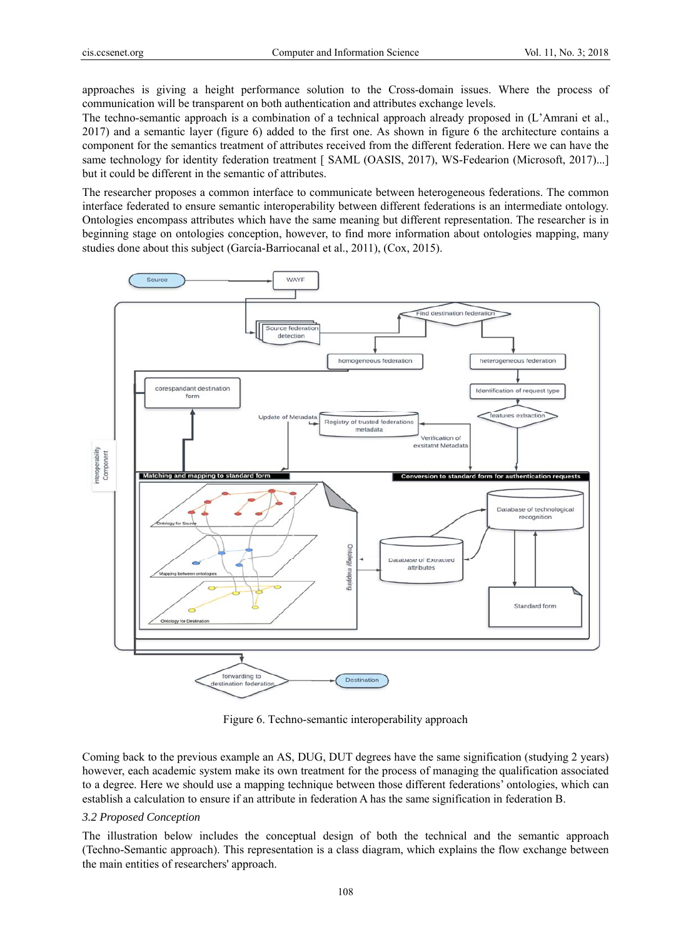approaches is giving a height performance solution to the Cross-domain issues. Where the process of communication will be transparent on both authentication and attributes exchange levels.

The techno-semantic approach is a combination of a technical approach already proposed in (L'Amrani et al., 2017) and a semantic layer (figure 6) added to the first one. As shown in figure 6 the architecture contains a component for the semantics treatment of attributes received from the different federation. Here we can have the same technology for identity federation treatment [ SAML (OASIS, 2017), WS-Fedearion (Microsoft, 2017)...] but it could be different in the semantic of attributes.

The researcher proposes a common interface to communicate between heterogeneous federations. The common interface federated to ensure semantic interoperability between different federations is an intermediate ontology. Ontologies encompass attributes which have the same meaning but different representation. The researcher is in beginning stage on ontologies conception, however, to find more information about ontologies mapping, many studies done about this subject (García-Barriocanal et al., 2011), (Cox, 2015).



Figure 6. Techno-semantic interoperability approach

Coming back to the previous example an AS, DUG, DUT degrees have the same signification (studying 2 years) however, each academic system make its own treatment for the process of managing the qualification associated to a degree. Here we should use a mapping technique between those different federations' ontologies, which can establish a calculation to ensure if an attribute in federation A has the same signification in federation B.

#### *3.2 Proposed Conception*

The illustration below includes the conceptual design of both the technical and the semantic approach (Techno-Semantic approach). This representation is a class diagram, which explains the flow exchange between the main entities of researchers' approach.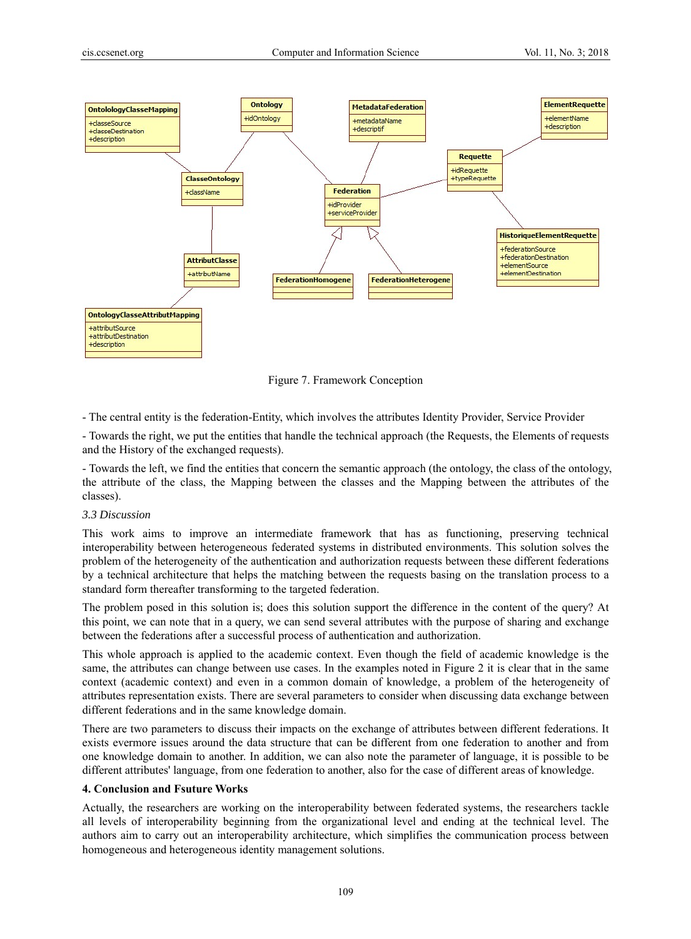

Figure 7. Framework Conception

- The central entity is the federation-Entity, which involves the attributes Identity Provider, Service Provider

- Towards the right, we put the entities that handle the technical approach (the Requests, the Elements of requests and the History of the exchanged requests).

- Towards the left, we find the entities that concern the semantic approach (the ontology, the class of the ontology, the attribute of the class, the Mapping between the classes and the Mapping between the attributes of the classes).

## *3.3 Discussion*

This work aims to improve an intermediate framework that has as functioning, preserving technical interoperability between heterogeneous federated systems in distributed environments. This solution solves the problem of the heterogeneity of the authentication and authorization requests between these different federations by a technical architecture that helps the matching between the requests basing on the translation process to a standard form thereafter transforming to the targeted federation.

The problem posed in this solution is; does this solution support the difference in the content of the query? At this point, we can note that in a query, we can send several attributes with the purpose of sharing and exchange between the federations after a successful process of authentication and authorization.

This whole approach is applied to the academic context. Even though the field of academic knowledge is the same, the attributes can change between use cases. In the examples noted in Figure 2 it is clear that in the same context (academic context) and even in a common domain of knowledge, a problem of the heterogeneity of attributes representation exists. There are several parameters to consider when discussing data exchange between different federations and in the same knowledge domain.

There are two parameters to discuss their impacts on the exchange of attributes between different federations. It exists evermore issues around the data structure that can be different from one federation to another and from one knowledge domain to another. In addition, we can also note the parameter of language, it is possible to be different attributes' language, from one federation to another, also for the case of different areas of knowledge.

## **4. Conclusion and Fsuture Works**

Actually, the researchers are working on the interoperability between federated systems, the researchers tackle all levels of interoperability beginning from the organizational level and ending at the technical level. The authors aim to carry out an interoperability architecture, which simplifies the communication process between homogeneous and heterogeneous identity management solutions.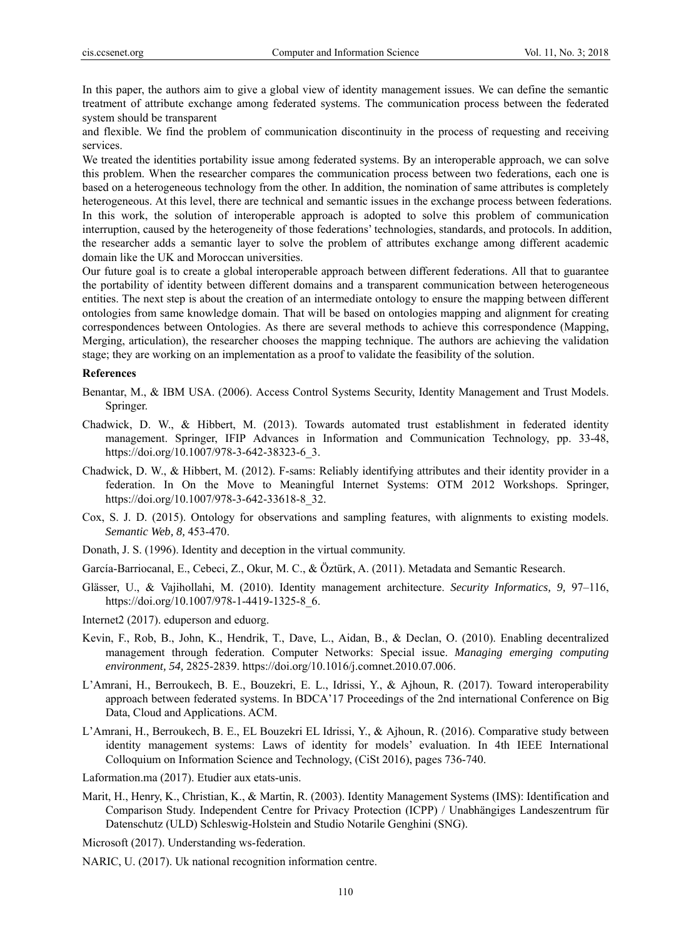In this paper, the authors aim to give a global view of identity management issues. We can define the semantic treatment of attribute exchange among federated systems. The communication process between the federated system should be transparent

and flexible. We find the problem of communication discontinuity in the process of requesting and receiving services.

We treated the identities portability issue among federated systems. By an interoperable approach, we can solve this problem. When the researcher compares the communication process between two federations, each one is based on a heterogeneous technology from the other. In addition, the nomination of same attributes is completely heterogeneous. At this level, there are technical and semantic issues in the exchange process between federations. In this work, the solution of interoperable approach is adopted to solve this problem of communication interruption, caused by the heterogeneity of those federations' technologies, standards, and protocols. In addition, the researcher adds a semantic layer to solve the problem of attributes exchange among different academic domain like the UK and Moroccan universities.

Our future goal is to create a global interoperable approach between different federations. All that to guarantee the portability of identity between different domains and a transparent communication between heterogeneous entities. The next step is about the creation of an intermediate ontology to ensure the mapping between different ontologies from same knowledge domain. That will be based on ontologies mapping and alignment for creating correspondences between Ontologies. As there are several methods to achieve this correspondence (Mapping, Merging, articulation), the researcher chooses the mapping technique. The authors are achieving the validation stage; they are working on an implementation as a proof to validate the feasibility of the solution.

#### **References**

- Benantar, M., & IBM USA. (2006). Access Control Systems Security, Identity Management and Trust Models. Springer.
- Chadwick, D. W., & Hibbert, M. (2013). Towards automated trust establishment in federated identity management. Springer, IFIP Advances in Information and Communication Technology, pp. 33-48, https://doi.org/10.1007/978-3-642-38323-6\_3.
- Chadwick, D. W., & Hibbert, M. (2012). F-sams: Reliably identifying attributes and their identity provider in a federation. In On the Move to Meaningful Internet Systems: OTM 2012 Workshops. Springer, https://doi.org/10.1007/978-3-642-33618-8\_32.
- Cox, S. J. D. (2015). Ontology for observations and sampling features, with alignments to existing models. *Semantic Web, 8,* 453-470.
- Donath, J. S. (1996). Identity and deception in the virtual community.
- García-Barriocanal, E., Cebeci, Z., Okur, M. C., & Öztürk, A. (2011). Metadata and Semantic Research.
- Glässer, U., & Vajihollahi, M. (2010). Identity management architecture. *Security Informatics, 9,* 97–116, https://doi.org/10.1007/978-1-4419-1325-8\_6.
- Internet2 (2017). eduperson and eduorg.
- Kevin, F., Rob, B., John, K., Hendrik, T., Dave, L., Aidan, B., & Declan, O. (2010). Enabling decentralized management through federation. Computer Networks: Special issue. *Managing emerging computing environment, 54,* 2825-2839. https://doi.org/10.1016/j.comnet.2010.07.006.
- L'Amrani, H., Berroukech, B. E., Bouzekri, E. L., Idrissi, Y., & Ajhoun, R. (2017). Toward interoperability approach between federated systems. In BDCA'17 Proceedings of the 2nd international Conference on Big Data, Cloud and Applications. ACM.
- L'Amrani, H., Berroukech, B. E., EL Bouzekri EL Idrissi, Y., & Ajhoun, R. (2016). Comparative study between identity management systems: Laws of identity for models' evaluation. In 4th IEEE International Colloquium on Information Science and Technology, (CiSt 2016), pages 736-740.
- Laformation.ma (2017). Etudier aux etats-unis.
- Marit, H., Henry, K., Christian, K., & Martin, R. (2003). Identity Management Systems (IMS): Identification and Comparison Study. Independent Centre for Privacy Protection (ICPP) / Unabhängiges Landeszentrum für Datenschutz (ULD) Schleswig-Holstein and Studio Notarile Genghini (SNG).
- Microsoft (2017). Understanding ws-federation.
- NARIC, U. (2017). Uk national recognition information centre.